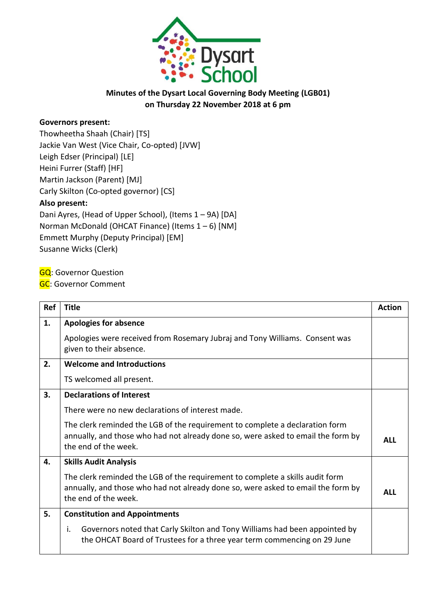

## **Minutes of the Dysart Local Governing Body Meeting (LGB01) on Thursday 22 November 2018 at 6 pm**

## **Governors present:**

Thowheetha Shaah (Chair) [TS] Jackie Van West (Vice Chair, Co-opted) [JVW] Leigh Edser (Principal) [LE] Heini Furrer (Staff) [HF] Martin Jackson (Parent) [MJ] Carly Skilton (Co-opted governor) [CS] **Also present:** Dani Ayres, (Head of Upper School), (Items 1 – 9A) [DA] Norman McDonald (OHCAT Finance) (Items 1 – 6) [NM] Emmett Murphy (Deputy Principal) [EM] Susanne Wicks (Clerk)

**GQ: Governor Question** 

**GC: Governor Comment** 

| <b>Ref</b> | <b>Title</b>                                                                                                                                                                              | <b>Action</b> |
|------------|-------------------------------------------------------------------------------------------------------------------------------------------------------------------------------------------|---------------|
| 1.         | <b>Apologies for absence</b>                                                                                                                                                              |               |
|            | Apologies were received from Rosemary Jubraj and Tony Williams. Consent was<br>given to their absence.                                                                                    |               |
| 2.         | <b>Welcome and Introductions</b>                                                                                                                                                          |               |
|            | TS welcomed all present.                                                                                                                                                                  |               |
| 3.         | <b>Declarations of Interest</b>                                                                                                                                                           |               |
|            | There were no new declarations of interest made.                                                                                                                                          |               |
|            | The clerk reminded the LGB of the requirement to complete a declaration form<br>annually, and those who had not already done so, were asked to email the form by<br>the end of the week.  | <b>ALL</b>    |
| 4.         | <b>Skills Audit Analysis</b>                                                                                                                                                              |               |
|            | The clerk reminded the LGB of the requirement to complete a skills audit form<br>annually, and those who had not already done so, were asked to email the form by<br>the end of the week. | <b>ALL</b>    |
| 5.         | <b>Constitution and Appointments</b>                                                                                                                                                      |               |
|            | Governors noted that Carly Skilton and Tony Williams had been appointed by<br>i.<br>the OHCAT Board of Trustees for a three year term commencing on 29 June                               |               |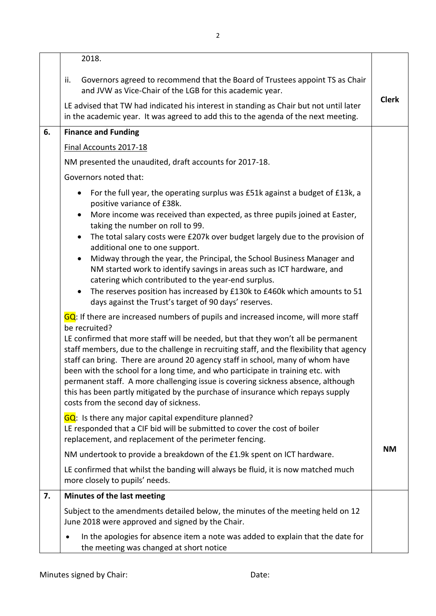|    | 2018.                                                                                                                                                                                                                                                                                                                                                                                                                                                                                                                                                                                                                                                                      |              |
|----|----------------------------------------------------------------------------------------------------------------------------------------------------------------------------------------------------------------------------------------------------------------------------------------------------------------------------------------------------------------------------------------------------------------------------------------------------------------------------------------------------------------------------------------------------------------------------------------------------------------------------------------------------------------------------|--------------|
|    | Governors agreed to recommend that the Board of Trustees appoint TS as Chair<br>ii.<br>and JVW as Vice-Chair of the LGB for this academic year.                                                                                                                                                                                                                                                                                                                                                                                                                                                                                                                            | <b>Clerk</b> |
|    | LE advised that TW had indicated his interest in standing as Chair but not until later<br>in the academic year. It was agreed to add this to the agenda of the next meeting.                                                                                                                                                                                                                                                                                                                                                                                                                                                                                               |              |
| 6. | <b>Finance and Funding</b>                                                                                                                                                                                                                                                                                                                                                                                                                                                                                                                                                                                                                                                 |              |
|    | Final Accounts 2017-18                                                                                                                                                                                                                                                                                                                                                                                                                                                                                                                                                                                                                                                     |              |
|    | NM presented the unaudited, draft accounts for 2017-18.                                                                                                                                                                                                                                                                                                                                                                                                                                                                                                                                                                                                                    |              |
|    | Governors noted that:                                                                                                                                                                                                                                                                                                                                                                                                                                                                                                                                                                                                                                                      |              |
|    | For the full year, the operating surplus was £51k against a budget of £13k, a<br>$\bullet$<br>positive variance of £38k.                                                                                                                                                                                                                                                                                                                                                                                                                                                                                                                                                   |              |
|    | More income was received than expected, as three pupils joined at Easter,<br>$\bullet$<br>taking the number on roll to 99.                                                                                                                                                                                                                                                                                                                                                                                                                                                                                                                                                 |              |
|    | The total salary costs were £207k over budget largely due to the provision of<br>$\bullet$<br>additional one to one support.                                                                                                                                                                                                                                                                                                                                                                                                                                                                                                                                               |              |
|    | Midway through the year, the Principal, the School Business Manager and<br>$\bullet$<br>NM started work to identify savings in areas such as ICT hardware, and<br>catering which contributed to the year-end surplus.                                                                                                                                                                                                                                                                                                                                                                                                                                                      |              |
|    | The reserves position has increased by £130k to £460k which amounts to 51<br>days against the Trust's target of 90 days' reserves.                                                                                                                                                                                                                                                                                                                                                                                                                                                                                                                                         |              |
|    | GQ: If there are increased numbers of pupils and increased income, will more staff<br>be recruited?<br>LE confirmed that more staff will be needed, but that they won't all be permanent<br>staff members, due to the challenge in recruiting staff, and the flexibility that agency<br>staff can bring. There are around 20 agency staff in school, many of whom have<br>been with the school for a long time, and who participate in training etc. with<br>permanent staff. A more challenging issue is covering sickness absence, although<br>this has been partly mitigated by the purchase of insurance which repays supply<br>costs from the second day of sickness. |              |
|    | GQ: Is there any major capital expenditure planned?<br>LE responded that a CIF bid will be submitted to cover the cost of boiler<br>replacement, and replacement of the perimeter fencing.                                                                                                                                                                                                                                                                                                                                                                                                                                                                                 |              |
|    | NM undertook to provide a breakdown of the £1.9k spent on ICT hardware.                                                                                                                                                                                                                                                                                                                                                                                                                                                                                                                                                                                                    | <b>NM</b>    |
|    | LE confirmed that whilst the banding will always be fluid, it is now matched much<br>more closely to pupils' needs.                                                                                                                                                                                                                                                                                                                                                                                                                                                                                                                                                        |              |
| 7. | Minutes of the last meeting                                                                                                                                                                                                                                                                                                                                                                                                                                                                                                                                                                                                                                                |              |
|    | Subject to the amendments detailed below, the minutes of the meeting held on 12<br>June 2018 were approved and signed by the Chair.                                                                                                                                                                                                                                                                                                                                                                                                                                                                                                                                        |              |
|    | In the apologies for absence item a note was added to explain that the date for<br>the meeting was changed at short notice                                                                                                                                                                                                                                                                                                                                                                                                                                                                                                                                                 |              |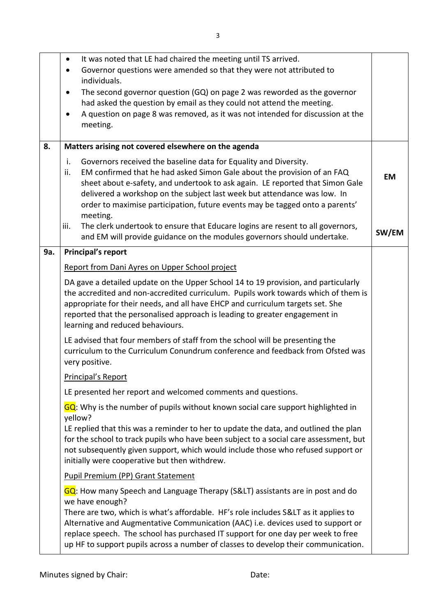|     | It was noted that LE had chaired the meeting until TS arrived.<br>$\bullet$<br>Governor questions were amended so that they were not attributed to<br>individuals.<br>The second governor question (GQ) on page 2 was reworded as the governor<br>$\bullet$<br>had asked the question by email as they could not attend the meeting.<br>A question on page 8 was removed, as it was not intended for discussion at the<br>meeting.                |           |
|-----|---------------------------------------------------------------------------------------------------------------------------------------------------------------------------------------------------------------------------------------------------------------------------------------------------------------------------------------------------------------------------------------------------------------------------------------------------|-----------|
| 8.  | Matters arising not covered elsewhere on the agenda                                                                                                                                                                                                                                                                                                                                                                                               |           |
|     | i.<br>Governors received the baseline data for Equality and Diversity.<br>EM confirmed that he had asked Simon Gale about the provision of an FAQ<br>ii.<br>sheet about e-safety, and undertook to ask again. LE reported that Simon Gale<br>delivered a workshop on the subject last week but attendance was low. In<br>order to maximise participation, future events may be tagged onto a parents'<br>meeting.                                 | <b>EM</b> |
|     | The clerk undertook to ensure that Educare logins are resent to all governors,<br>iii.<br>and EM will provide guidance on the modules governors should undertake.                                                                                                                                                                                                                                                                                 | SW/EM     |
| 9a. | <b>Principal's report</b>                                                                                                                                                                                                                                                                                                                                                                                                                         |           |
|     | Report from Dani Ayres on Upper School project                                                                                                                                                                                                                                                                                                                                                                                                    |           |
|     | DA gave a detailed update on the Upper School 14 to 19 provision, and particularly<br>the accredited and non-accredited curriculum. Pupils work towards which of them is<br>appropriate for their needs, and all have EHCP and curriculum targets set. She<br>reported that the personalised approach is leading to greater engagement in<br>learning and reduced behaviours.                                                                     |           |
|     | LE advised that four members of staff from the school will be presenting the<br>curriculum to the Curriculum Conundrum conference and feedback from Ofsted was<br>very positive.                                                                                                                                                                                                                                                                  |           |
|     | Principal's Report                                                                                                                                                                                                                                                                                                                                                                                                                                |           |
|     | LE presented her report and welcomed comments and questions.                                                                                                                                                                                                                                                                                                                                                                                      |           |
|     | GQ: Why is the number of pupils without known social care support highlighted in<br>yellow?                                                                                                                                                                                                                                                                                                                                                       |           |
|     | LE replied that this was a reminder to her to update the data, and outlined the plan<br>for the school to track pupils who have been subject to a social care assessment, but<br>not subsequently given support, which would include those who refused support or<br>initially were cooperative but then withdrew.                                                                                                                                |           |
|     | <b>Pupil Premium (PP) Grant Statement</b>                                                                                                                                                                                                                                                                                                                                                                                                         |           |
|     | GQ: How many Speech and Language Therapy (S<) assistants are in post and do<br>we have enough?<br>There are two, which is what's affordable. HF's role includes S< as it applies to<br>Alternative and Augmentative Communication (AAC) i.e. devices used to support or<br>replace speech. The school has purchased IT support for one day per week to free<br>up HF to support pupils across a number of classes to develop their communication. |           |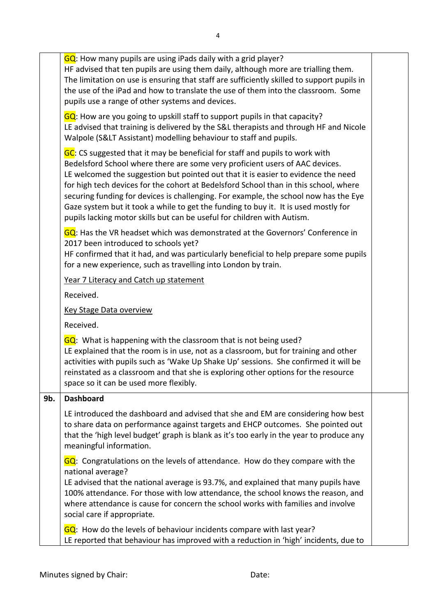|     | GQ: How many pupils are using iPads daily with a grid player?<br>HF advised that ten pupils are using them daily, although more are trialling them.<br>The limitation on use is ensuring that staff are sufficiently skilled to support pupils in<br>the use of the iPad and how to translate the use of them into the classroom. Some<br>pupils use a range of other systems and devices.                                                                                                                                                                                                          |  |
|-----|-----------------------------------------------------------------------------------------------------------------------------------------------------------------------------------------------------------------------------------------------------------------------------------------------------------------------------------------------------------------------------------------------------------------------------------------------------------------------------------------------------------------------------------------------------------------------------------------------------|--|
|     | GQ: How are you going to upskill staff to support pupils in that capacity?<br>LE advised that training is delivered by the S&L therapists and through HF and Nicole<br>Walpole (S< Assistant) modelling behaviour to staff and pupils.                                                                                                                                                                                                                                                                                                                                                              |  |
|     | GC: CS suggested that it may be beneficial for staff and pupils to work with<br>Bedelsford School where there are some very proficient users of AAC devices.<br>LE welcomed the suggestion but pointed out that it is easier to evidence the need<br>for high tech devices for the cohort at Bedelsford School than in this school, where<br>securing funding for devices is challenging. For example, the school now has the Eye<br>Gaze system but it took a while to get the funding to buy it. It is used mostly for<br>pupils lacking motor skills but can be useful for children with Autism. |  |
|     | GQ: Has the VR headset which was demonstrated at the Governors' Conference in<br>2017 been introduced to schools yet?<br>HF confirmed that it had, and was particularly beneficial to help prepare some pupils<br>for a new experience, such as travelling into London by train.                                                                                                                                                                                                                                                                                                                    |  |
|     | Year 7 Literacy and Catch up statement                                                                                                                                                                                                                                                                                                                                                                                                                                                                                                                                                              |  |
|     | Received.                                                                                                                                                                                                                                                                                                                                                                                                                                                                                                                                                                                           |  |
|     | <b>Key Stage Data overview</b>                                                                                                                                                                                                                                                                                                                                                                                                                                                                                                                                                                      |  |
|     | Received.                                                                                                                                                                                                                                                                                                                                                                                                                                                                                                                                                                                           |  |
|     | GQ: What is happening with the classroom that is not being used?<br>LE explained that the room is in use, not as a classroom, but for training and other<br>activities with pupils such as 'Wake Up Shake Up' sessions. She confirmed it will be<br>reinstated as a classroom and that she is exploring other options for the resource<br>space so it can be used more flexibly.                                                                                                                                                                                                                    |  |
| 9b. | <b>Dashboard</b>                                                                                                                                                                                                                                                                                                                                                                                                                                                                                                                                                                                    |  |
|     | LE introduced the dashboard and advised that she and EM are considering how best<br>to share data on performance against targets and EHCP outcomes. She pointed out<br>that the 'high level budget' graph is blank as it's too early in the year to produce any<br>meaningful information.                                                                                                                                                                                                                                                                                                          |  |
|     | GQ: Congratulations on the levels of attendance. How do they compare with the<br>national average?<br>LE advised that the national average is 93.7%, and explained that many pupils have<br>100% attendance. For those with low attendance, the school knows the reason, and<br>where attendance is cause for concern the school works with families and involve<br>social care if appropriate.                                                                                                                                                                                                     |  |
|     | GQ: How do the levels of behaviour incidents compare with last year?<br>LE reported that behaviour has improved with a reduction in 'high' incidents, due to                                                                                                                                                                                                                                                                                                                                                                                                                                        |  |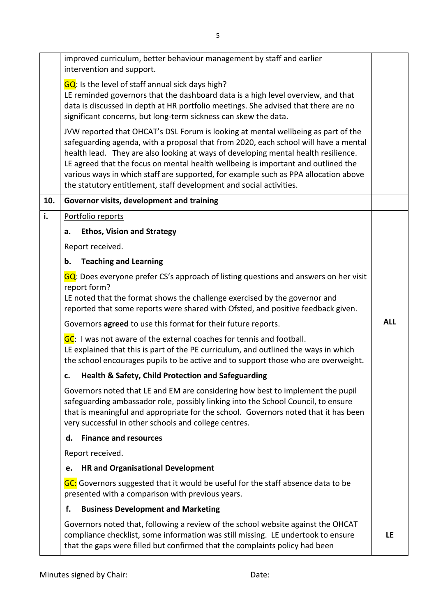|     | improved curriculum, better behaviour management by staff and earlier<br>intervention and support.<br>GQ: Is the level of staff annual sick days high?<br>LE reminded governors that the dashboard data is a high level overview, and that<br>data is discussed in depth at HR portfolio meetings. She advised that there are no<br>significant concerns, but long-term sickness can skew the data.<br>JVW reported that OHCAT's DSL Forum is looking at mental wellbeing as part of the<br>safeguarding agenda, with a proposal that from 2020, each school will have a mental |            |
|-----|---------------------------------------------------------------------------------------------------------------------------------------------------------------------------------------------------------------------------------------------------------------------------------------------------------------------------------------------------------------------------------------------------------------------------------------------------------------------------------------------------------------------------------------------------------------------------------|------------|
|     | health lead. They are also looking at ways of developing mental health resilience.<br>LE agreed that the focus on mental health wellbeing is important and outlined the<br>various ways in which staff are supported, for example such as PPA allocation above<br>the statutory entitlement, staff development and social activities.                                                                                                                                                                                                                                           |            |
| 10. | Governor visits, development and training                                                                                                                                                                                                                                                                                                                                                                                                                                                                                                                                       |            |
| i.  | Portfolio reports                                                                                                                                                                                                                                                                                                                                                                                                                                                                                                                                                               |            |
|     | <b>Ethos, Vision and Strategy</b><br>a.                                                                                                                                                                                                                                                                                                                                                                                                                                                                                                                                         |            |
|     | Report received.                                                                                                                                                                                                                                                                                                                                                                                                                                                                                                                                                                |            |
|     | <b>Teaching and Learning</b><br>b.                                                                                                                                                                                                                                                                                                                                                                                                                                                                                                                                              |            |
|     | GQ: Does everyone prefer CS's approach of listing questions and answers on her visit<br>report form?<br>LE noted that the format shows the challenge exercised by the governor and<br>reported that some reports were shared with Ofsted, and positive feedback given.                                                                                                                                                                                                                                                                                                          |            |
|     | Governors agreed to use this format for their future reports.                                                                                                                                                                                                                                                                                                                                                                                                                                                                                                                   | <b>ALL</b> |
|     | GC: I was not aware of the external coaches for tennis and football.<br>LE explained that this is part of the PE curriculum, and outlined the ways in which<br>the school encourages pupils to be active and to support those who are overweight.                                                                                                                                                                                                                                                                                                                               |            |
|     | Health & Safety, Child Protection and Safeguarding<br>c.                                                                                                                                                                                                                                                                                                                                                                                                                                                                                                                        |            |
|     | Governors noted that LE and EM are considering how best to implement the pupil<br>safeguarding ambassador role, possibly linking into the School Council, to ensure<br>that is meaningful and appropriate for the school. Governors noted that it has been<br>very successful in other schools and college centres.                                                                                                                                                                                                                                                             |            |
|     | <b>Finance and resources</b><br>d.                                                                                                                                                                                                                                                                                                                                                                                                                                                                                                                                              |            |
|     | Report received.                                                                                                                                                                                                                                                                                                                                                                                                                                                                                                                                                                |            |
|     | <b>HR and Organisational Development</b><br>e.                                                                                                                                                                                                                                                                                                                                                                                                                                                                                                                                  |            |
|     | GC: Governors suggested that it would be useful for the staff absence data to be<br>presented with a comparison with previous years.                                                                                                                                                                                                                                                                                                                                                                                                                                            |            |
|     | <b>Business Development and Marketing</b><br>f.                                                                                                                                                                                                                                                                                                                                                                                                                                                                                                                                 |            |
|     | Governors noted that, following a review of the school website against the OHCAT<br>compliance checklist, some information was still missing. LE undertook to ensure<br>that the gaps were filled but confirmed that the complaints policy had been                                                                                                                                                                                                                                                                                                                             | LE         |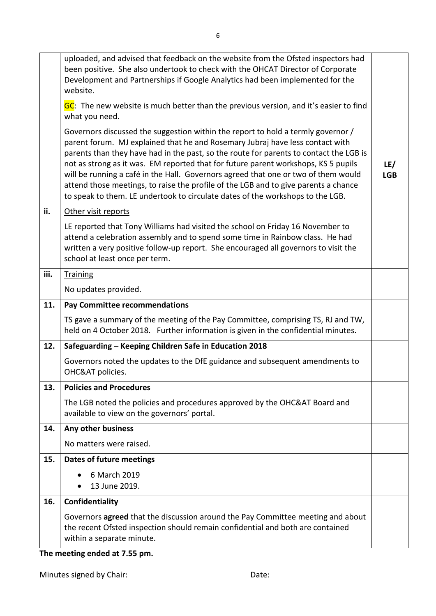|      | uploaded, and advised that feedback on the website from the Ofsted inspectors had<br>been positive. She also undertook to check with the OHCAT Director of Corporate<br>Development and Partnerships if Google Analytics had been implemented for the<br>website.                                                                                                                                                                                                                                                                                                                                                |                   |
|------|------------------------------------------------------------------------------------------------------------------------------------------------------------------------------------------------------------------------------------------------------------------------------------------------------------------------------------------------------------------------------------------------------------------------------------------------------------------------------------------------------------------------------------------------------------------------------------------------------------------|-------------------|
|      | GC: The new website is much better than the previous version, and it's easier to find<br>what you need.                                                                                                                                                                                                                                                                                                                                                                                                                                                                                                          |                   |
|      | Governors discussed the suggestion within the report to hold a termly governor /<br>parent forum. MJ explained that he and Rosemary Jubraj have less contact with<br>parents than they have had in the past, so the route for parents to contact the LGB is<br>not as strong as it was. EM reported that for future parent workshops, KS 5 pupils<br>will be running a café in the Hall. Governors agreed that one or two of them would<br>attend those meetings, to raise the profile of the LGB and to give parents a chance<br>to speak to them. LE undertook to circulate dates of the workshops to the LGB. | LE/<br><b>LGB</b> |
| ii.  | Other visit reports                                                                                                                                                                                                                                                                                                                                                                                                                                                                                                                                                                                              |                   |
|      | LE reported that Tony Williams had visited the school on Friday 16 November to<br>attend a celebration assembly and to spend some time in Rainbow class. He had<br>written a very positive follow-up report. She encouraged all governors to visit the<br>school at least once per term.                                                                                                                                                                                                                                                                                                                         |                   |
| iii. | <b>Training</b>                                                                                                                                                                                                                                                                                                                                                                                                                                                                                                                                                                                                  |                   |
|      | No updates provided.                                                                                                                                                                                                                                                                                                                                                                                                                                                                                                                                                                                             |                   |
| 11.  | <b>Pay Committee recommendations</b>                                                                                                                                                                                                                                                                                                                                                                                                                                                                                                                                                                             |                   |
|      |                                                                                                                                                                                                                                                                                                                                                                                                                                                                                                                                                                                                                  |                   |
|      | TS gave a summary of the meeting of the Pay Committee, comprising TS, RJ and TW,<br>held on 4 October 2018. Further information is given in the confidential minutes.                                                                                                                                                                                                                                                                                                                                                                                                                                            |                   |
| 12.  | Safeguarding - Keeping Children Safe in Education 2018                                                                                                                                                                                                                                                                                                                                                                                                                                                                                                                                                           |                   |
|      | Governors noted the updates to the DfE guidance and subsequent amendments to<br>OHC&AT policies.                                                                                                                                                                                                                                                                                                                                                                                                                                                                                                                 |                   |
| 13.  | <b>Policies and Procedures</b>                                                                                                                                                                                                                                                                                                                                                                                                                                                                                                                                                                                   |                   |
|      | The LGB noted the policies and procedures approved by the OHC&AT Board and<br>available to view on the governors' portal.                                                                                                                                                                                                                                                                                                                                                                                                                                                                                        |                   |
| 14.  | Any other business                                                                                                                                                                                                                                                                                                                                                                                                                                                                                                                                                                                               |                   |
|      | No matters were raised.                                                                                                                                                                                                                                                                                                                                                                                                                                                                                                                                                                                          |                   |
| 15.  | <b>Dates of future meetings</b>                                                                                                                                                                                                                                                                                                                                                                                                                                                                                                                                                                                  |                   |
|      | 6 March 2019<br>13 June 2019.                                                                                                                                                                                                                                                                                                                                                                                                                                                                                                                                                                                    |                   |
| 16.  | Confidentiality                                                                                                                                                                                                                                                                                                                                                                                                                                                                                                                                                                                                  |                   |

**The meeting ended at 7.55 pm.**